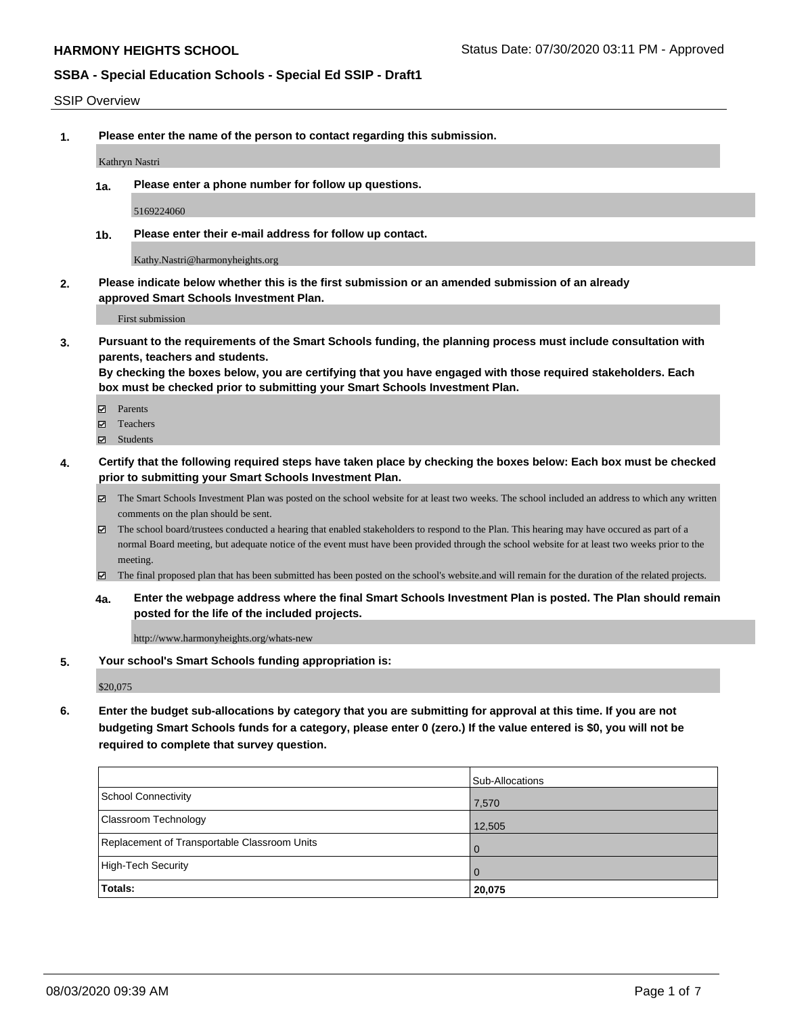#### SSIP Overview

**1. Please enter the name of the person to contact regarding this submission.**

Kathryn Nastri

**1a. Please enter a phone number for follow up questions.**

5169224060

**1b. Please enter their e-mail address for follow up contact.**

Kathy.Nastri@harmonyheights.org

**2. Please indicate below whether this is the first submission or an amended submission of an already approved Smart Schools Investment Plan.**

First submission

**3. Pursuant to the requirements of the Smart Schools funding, the planning process must include consultation with parents, teachers and students.**

**By checking the boxes below, you are certifying that you have engaged with those required stakeholders. Each box must be checked prior to submitting your Smart Schools Investment Plan.**

- Parents
- Teachers
- Students
- **4. Certify that the following required steps have taken place by checking the boxes below: Each box must be checked prior to submitting your Smart Schools Investment Plan.**
	- The Smart Schools Investment Plan was posted on the school website for at least two weeks. The school included an address to which any written comments on the plan should be sent.
	- $\boxtimes$  The school board/trustees conducted a hearing that enabled stakeholders to respond to the Plan. This hearing may have occured as part of a normal Board meeting, but adequate notice of the event must have been provided through the school website for at least two weeks prior to the meeting.
	- The final proposed plan that has been submitted has been posted on the school's website.and will remain for the duration of the related projects.
	- **4a. Enter the webpage address where the final Smart Schools Investment Plan is posted. The Plan should remain posted for the life of the included projects.**

http://www.harmonyheights.org/whats-new

**5. Your school's Smart Schools funding appropriation is:**

\$20,075

**6. Enter the budget sub-allocations by category that you are submitting for approval at this time. If you are not budgeting Smart Schools funds for a category, please enter 0 (zero.) If the value entered is \$0, you will not be required to complete that survey question.**

|                                              | Sub-Allocations |
|----------------------------------------------|-----------------|
| School Connectivity                          | 7,570           |
| Classroom Technology                         | 12,505          |
| Replacement of Transportable Classroom Units | l 0             |
| High-Tech Security                           | I O             |
| Totals:                                      | 20,075          |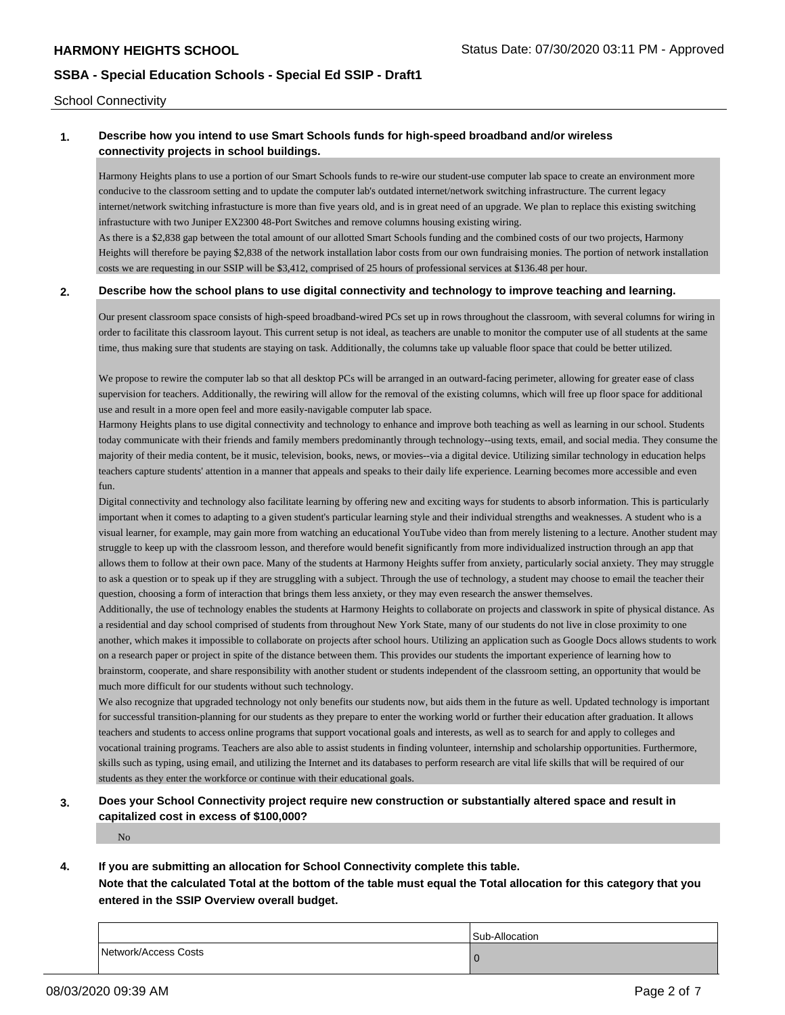School Connectivity

### **1. Describe how you intend to use Smart Schools funds for high-speed broadband and/or wireless connectivity projects in school buildings.**

Harmony Heights plans to use a portion of our Smart Schools funds to re-wire our student-use computer lab space to create an environment more conducive to the classroom setting and to update the computer lab's outdated internet/network switching infrastructure. The current legacy internet/network switching infrastucture is more than five years old, and is in great need of an upgrade. We plan to replace this existing switching infrastucture with two Juniper EX2300 48-Port Switches and remove columns housing existing wiring.

As there is a \$2,838 gap between the total amount of our allotted Smart Schools funding and the combined costs of our two projects, Harmony Heights will therefore be paying \$2,838 of the network installation labor costs from our own fundraising monies. The portion of network installation costs we are requesting in our SSIP will be \$3,412, comprised of 25 hours of professional services at \$136.48 per hour.

#### **2. Describe how the school plans to use digital connectivity and technology to improve teaching and learning.**

Our present classroom space consists of high-speed broadband-wired PCs set up in rows throughout the classroom, with several columns for wiring in order to facilitate this classroom layout. This current setup is not ideal, as teachers are unable to monitor the computer use of all students at the same time, thus making sure that students are staying on task. Additionally, the columns take up valuable floor space that could be better utilized.

We propose to rewire the computer lab so that all desktop PCs will be arranged in an outward-facing perimeter, allowing for greater ease of class supervision for teachers. Additionally, the rewiring will allow for the removal of the existing columns, which will free up floor space for additional use and result in a more open feel and more easily-navigable computer lab space.

Harmony Heights plans to use digital connectivity and technology to enhance and improve both teaching as well as learning in our school. Students today communicate with their friends and family members predominantly through technology--using texts, email, and social media. They consume the majority of their media content, be it music, television, books, news, or movies--via a digital device. Utilizing similar technology in education helps teachers capture students' attention in a manner that appeals and speaks to their daily life experience. Learning becomes more accessible and even fun.

Digital connectivity and technology also facilitate learning by offering new and exciting ways for students to absorb information. This is particularly important when it comes to adapting to a given student's particular learning style and their individual strengths and weaknesses. A student who is a visual learner, for example, may gain more from watching an educational YouTube video than from merely listening to a lecture. Another student may struggle to keep up with the classroom lesson, and therefore would benefit significantly from more individualized instruction through an app that allows them to follow at their own pace. Many of the students at Harmony Heights suffer from anxiety, particularly social anxiety. They may struggle to ask a question or to speak up if they are struggling with a subject. Through the use of technology, a student may choose to email the teacher their question, choosing a form of interaction that brings them less anxiety, or they may even research the answer themselves.

Additionally, the use of technology enables the students at Harmony Heights to collaborate on projects and classwork in spite of physical distance. As a residential and day school comprised of students from throughout New York State, many of our students do not live in close proximity to one another, which makes it impossible to collaborate on projects after school hours. Utilizing an application such as Google Docs allows students to work on a research paper or project in spite of the distance between them. This provides our students the important experience of learning how to brainstorm, cooperate, and share responsibility with another student or students independent of the classroom setting, an opportunity that would be much more difficult for our students without such technology.

We also recognize that upgraded technology not only benefits our students now, but aids them in the future as well. Updated technology is important for successful transition-planning for our students as they prepare to enter the working world or further their education after graduation. It allows teachers and students to access online programs that support vocational goals and interests, as well as to search for and apply to colleges and vocational training programs. Teachers are also able to assist students in finding volunteer, internship and scholarship opportunities. Furthermore, skills such as typing, using email, and utilizing the Internet and its databases to perform research are vital life skills that will be required of our students as they enter the workforce or continue with their educational goals.

# **3. Does your School Connectivity project require new construction or substantially altered space and result in capitalized cost in excess of \$100,000?**

No

**4. If you are submitting an allocation for School Connectivity complete this table.**

**Note that the calculated Total at the bottom of the table must equal the Total allocation for this category that you entered in the SSIP Overview overall budget.** 

|                      | Sub-Allocation |
|----------------------|----------------|
| Network/Access Costs |                |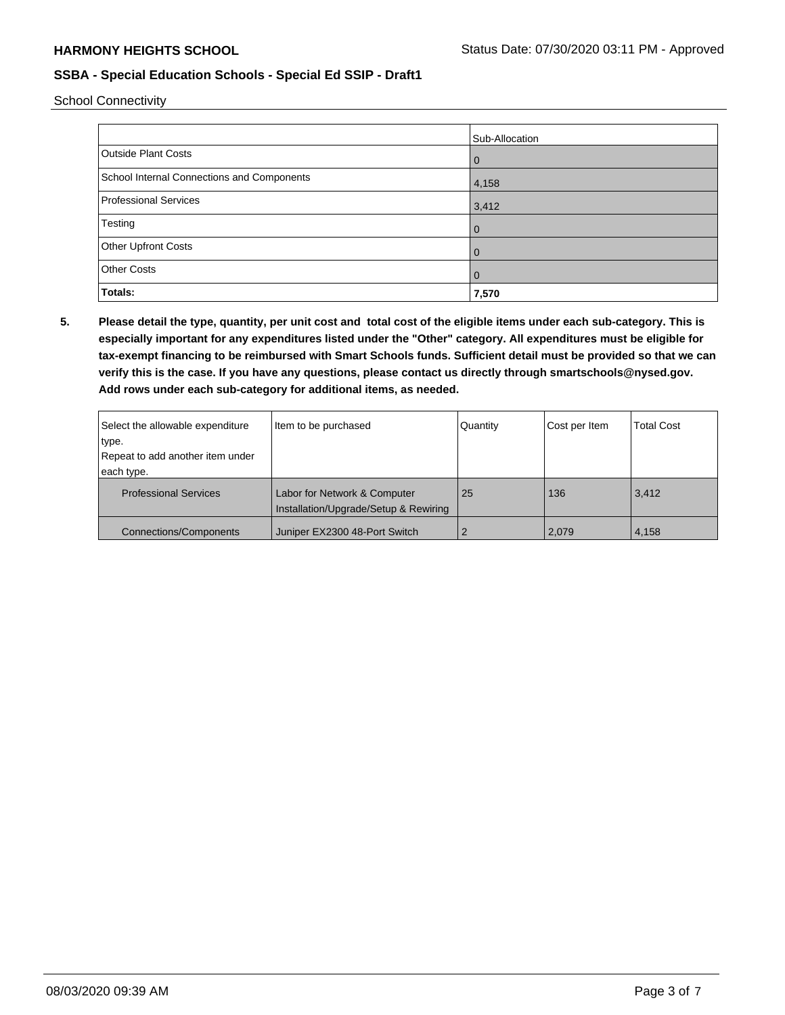School Connectivity

|                                            | Sub-Allocation |
|--------------------------------------------|----------------|
| <b>Outside Plant Costs</b>                 | $\overline{0}$ |
| School Internal Connections and Components | 4,158          |
| <b>Professional Services</b>               | 3,412          |
| Testing                                    | $\overline{0}$ |
| Other Upfront Costs                        | $\Omega$       |
| <b>Other Costs</b>                         | $\overline{0}$ |
| Totals:                                    | 7,570          |

**5. Please detail the type, quantity, per unit cost and total cost of the eligible items under each sub-category. This is especially important for any expenditures listed under the "Other" category. All expenditures must be eligible for tax-exempt financing to be reimbursed with Smart Schools funds. Sufficient detail must be provided so that we can verify this is the case. If you have any questions, please contact us directly through smartschools@nysed.gov. Add rows under each sub-category for additional items, as needed.**

| Select the allowable expenditure | Item to be purchased                                                  | Quantity | Cost per Item | <b>Total Cost</b> |
|----------------------------------|-----------------------------------------------------------------------|----------|---------------|-------------------|
| type.                            |                                                                       |          |               |                   |
| Repeat to add another item under |                                                                       |          |               |                   |
| each type.                       |                                                                       |          |               |                   |
| <b>Professional Services</b>     | Labor for Network & Computer<br>Installation/Upgrade/Setup & Rewiring | 25       | 136           | 3,412             |
| <b>Connections/Components</b>    | Juniper EX2300 48-Port Switch                                         |          | 2,079         | 4,158             |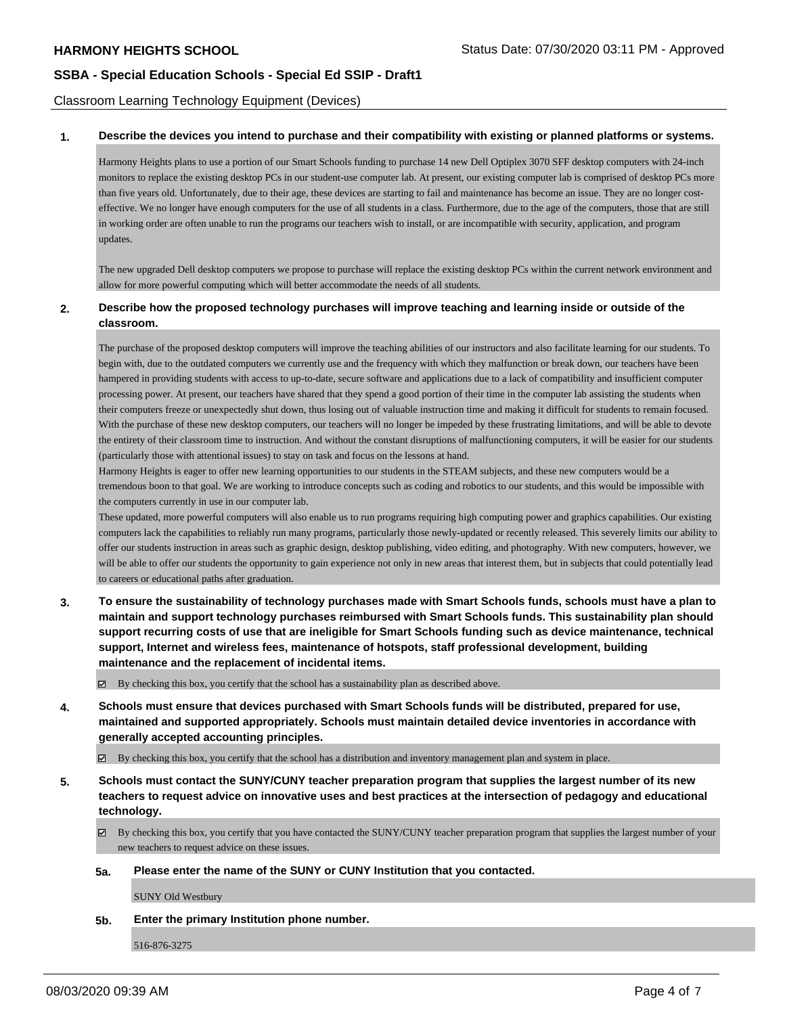Classroom Learning Technology Equipment (Devices)

#### **1. Describe the devices you intend to purchase and their compatibility with existing or planned platforms or systems.**

Harmony Heights plans to use a portion of our Smart Schools funding to purchase 14 new Dell Optiplex 3070 SFF desktop computers with 24-inch monitors to replace the existing desktop PCs in our student-use computer lab. At present, our existing computer lab is comprised of desktop PCs more than five years old. Unfortunately, due to their age, these devices are starting to fail and maintenance has become an issue. They are no longer costeffective. We no longer have enough computers for the use of all students in a class. Furthermore, due to the age of the computers, those that are still in working order are often unable to run the programs our teachers wish to install, or are incompatible with security, application, and program updates.

The new upgraded Dell desktop computers we propose to purchase will replace the existing desktop PCs within the current network environment and allow for more powerful computing which will better accommodate the needs of all students.

#### **2. Describe how the proposed technology purchases will improve teaching and learning inside or outside of the classroom.**

The purchase of the proposed desktop computers will improve the teaching abilities of our instructors and also facilitate learning for our students. To begin with, due to the outdated computers we currently use and the frequency with which they malfunction or break down, our teachers have been hampered in providing students with access to up-to-date, secure software and applications due to a lack of compatibility and insufficient computer processing power. At present, our teachers have shared that they spend a good portion of their time in the computer lab assisting the students when their computers freeze or unexpectedly shut down, thus losing out of valuable instruction time and making it difficult for students to remain focused. With the purchase of these new desktop computers, our teachers will no longer be impeded by these frustrating limitations, and will be able to devote the entirety of their classroom time to instruction. And without the constant disruptions of malfunctioning computers, it will be easier for our students (particularly those with attentional issues) to stay on task and focus on the lessons at hand.

Harmony Heights is eager to offer new learning opportunities to our students in the STEAM subjects, and these new computers would be a tremendous boon to that goal. We are working to introduce concepts such as coding and robotics to our students, and this would be impossible with the computers currently in use in our computer lab.

These updated, more powerful computers will also enable us to run programs requiring high computing power and graphics capabilities. Our existing computers lack the capabilities to reliably run many programs, particularly those newly-updated or recently released. This severely limits our ability to offer our students instruction in areas such as graphic design, desktop publishing, video editing, and photography. With new computers, however, we will be able to offer our students the opportunity to gain experience not only in new areas that interest them, but in subjects that could potentially lead to careers or educational paths after graduation.

**3. To ensure the sustainability of technology purchases made with Smart Schools funds, schools must have a plan to maintain and support technology purchases reimbursed with Smart Schools funds. This sustainability plan should support recurring costs of use that are ineligible for Smart Schools funding such as device maintenance, technical support, Internet and wireless fees, maintenance of hotspots, staff professional development, building maintenance and the replacement of incidental items.**

By checking this box, you certify that the school has a sustainability plan as described above.

**4. Schools must ensure that devices purchased with Smart Schools funds will be distributed, prepared for use, maintained and supported appropriately. Schools must maintain detailed device inventories in accordance with generally accepted accounting principles.**

 $\boxtimes$  By checking this box, you certify that the school has a distribution and inventory management plan and system in place.

**5. Schools must contact the SUNY/CUNY teacher preparation program that supplies the largest number of its new teachers to request advice on innovative uses and best practices at the intersection of pedagogy and educational technology.**

By checking this box, you certify that you have contacted the SUNY/CUNY teacher preparation program that supplies the largest number of your new teachers to request advice on these issues.

**5a. Please enter the name of the SUNY or CUNY Institution that you contacted.**

SUNY Old Westbury

**5b. Enter the primary Institution phone number.**

516-876-3275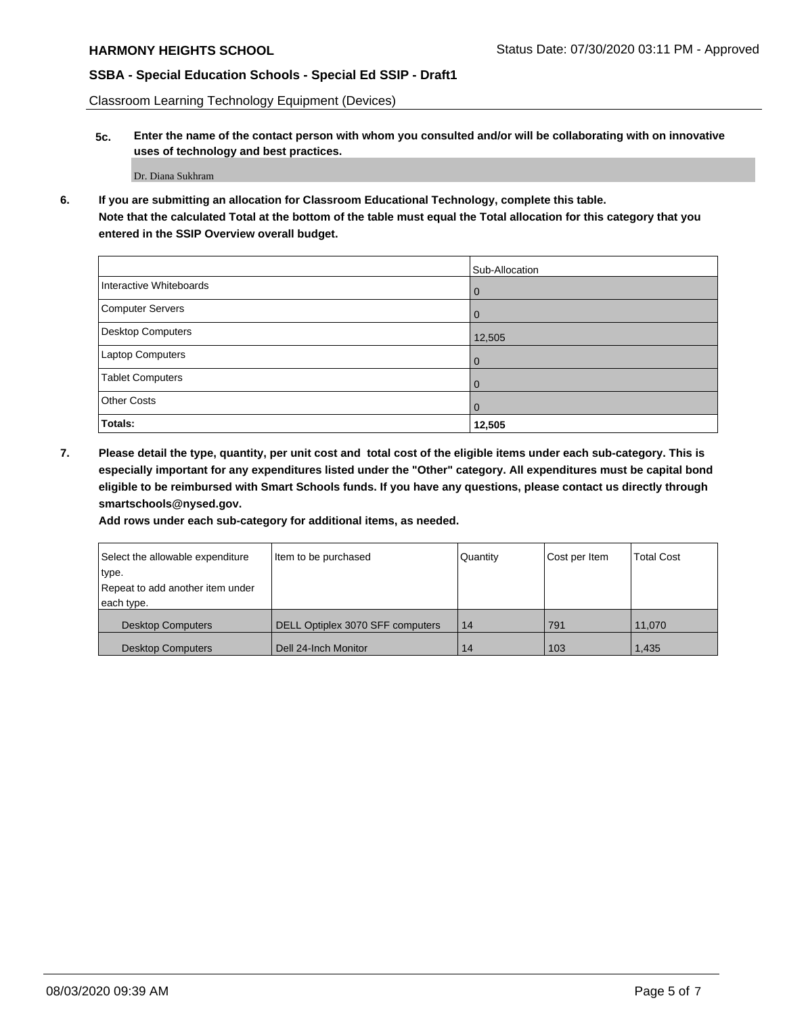Classroom Learning Technology Equipment (Devices)

**5c. Enter the name of the contact person with whom you consulted and/or will be collaborating with on innovative uses of technology and best practices.**

Dr. Diana Sukhram

**6. If you are submitting an allocation for Classroom Educational Technology, complete this table. Note that the calculated Total at the bottom of the table must equal the Total allocation for this category that you entered in the SSIP Overview overall budget.**

|                         | Sub-Allocation |
|-------------------------|----------------|
| Interactive Whiteboards | l 0            |
| Computer Servers        | I O            |
| Desktop Computers       | 12,505         |
| Laptop Computers        | l O            |
| <b>Tablet Computers</b> | l O            |
| <b>Other Costs</b>      | l 0            |
| Totals:                 | 12,505         |

**7. Please detail the type, quantity, per unit cost and total cost of the eligible items under each sub-category. This is especially important for any expenditures listed under the "Other" category. All expenditures must be capital bond eligible to be reimbursed with Smart Schools funds. If you have any questions, please contact us directly through smartschools@nysed.gov.**

**Add rows under each sub-category for additional items, as needed.**

| Select the allowable expenditure | Item to be purchased             | Quantity | Cost per Item | <b>Total Cost</b> |
|----------------------------------|----------------------------------|----------|---------------|-------------------|
| type.                            |                                  |          |               |                   |
| Repeat to add another item under |                                  |          |               |                   |
| each type.                       |                                  |          |               |                   |
| <b>Desktop Computers</b>         | DELL Optiplex 3070 SFF computers | 14       | 791           | 11.070            |
| <b>Desktop Computers</b>         | Dell 24-Inch Monitor             | 14       | 103           | 1,435             |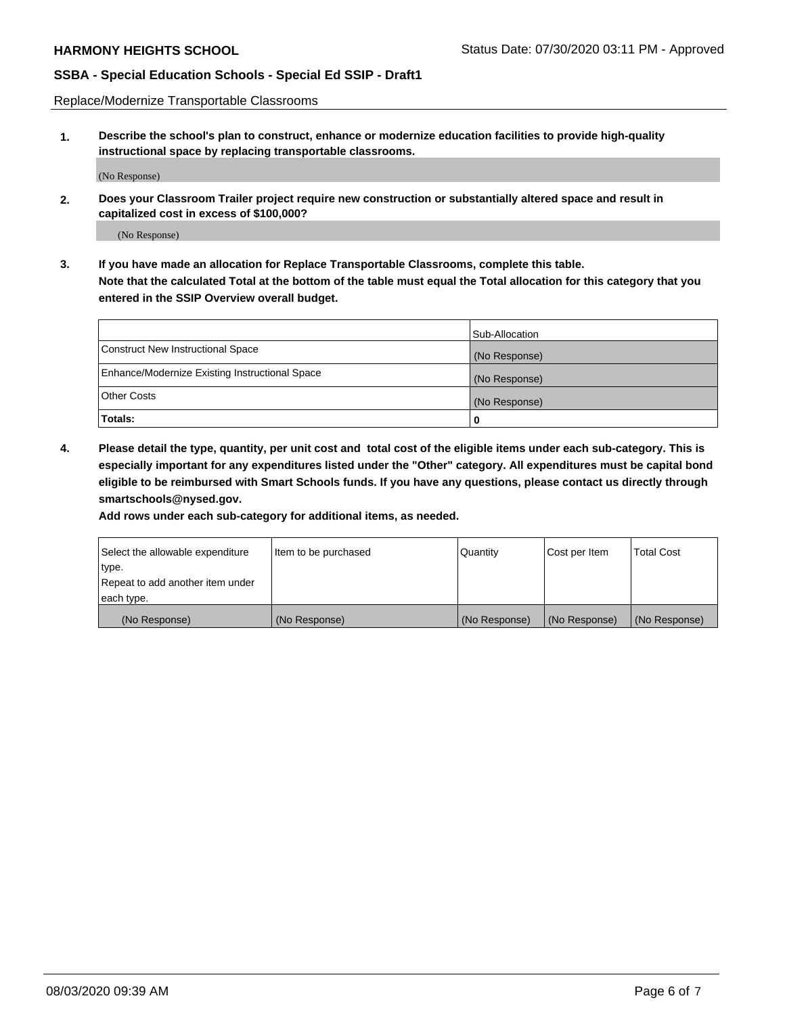Replace/Modernize Transportable Classrooms

**1. Describe the school's plan to construct, enhance or modernize education facilities to provide high-quality instructional space by replacing transportable classrooms.**

(No Response)

**2. Does your Classroom Trailer project require new construction or substantially altered space and result in capitalized cost in excess of \$100,000?**

(No Response)

**3. If you have made an allocation for Replace Transportable Classrooms, complete this table. Note that the calculated Total at the bottom of the table must equal the Total allocation for this category that you entered in the SSIP Overview overall budget.**

|                                                | Sub-Allocation |
|------------------------------------------------|----------------|
| Construct New Instructional Space              | (No Response)  |
| Enhance/Modernize Existing Instructional Space | (No Response)  |
| Other Costs                                    | (No Response)  |
| Totals:                                        | 0              |

**4. Please detail the type, quantity, per unit cost and total cost of the eligible items under each sub-category. This is especially important for any expenditures listed under the "Other" category. All expenditures must be capital bond eligible to be reimbursed with Smart Schools funds. If you have any questions, please contact us directly through smartschools@nysed.gov.**

**Add rows under each sub-category for additional items, as needed.**

| Select the allowable expenditure | Item to be purchased | Quantity      | Cost per Item | <b>Total Cost</b> |
|----------------------------------|----------------------|---------------|---------------|-------------------|
| 'type.                           |                      |               |               |                   |
| Repeat to add another item under |                      |               |               |                   |
| each type.                       |                      |               |               |                   |
| (No Response)                    | (No Response)        | (No Response) | (No Response) | (No Response)     |